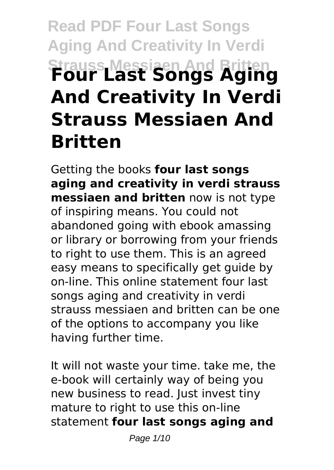# **Read PDF Four Last Songs Aging And Creativity In Verdi Strauss Messiaen And Britten Four Last Songs Aging And Creativity In Verdi Strauss Messiaen And Britten**

Getting the books **four last songs aging and creativity in verdi strauss messiaen and britten** now is not type of inspiring means. You could not abandoned going with ebook amassing or library or borrowing from your friends to right to use them. This is an agreed easy means to specifically get guide by on-line. This online statement four last songs aging and creativity in verdi strauss messiaen and britten can be one of the options to accompany you like having further time.

It will not waste your time. take me, the e-book will certainly way of being you new business to read. Just invest tiny mature to right to use this on-line statement **four last songs aging and**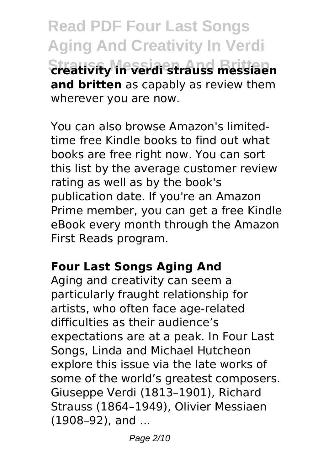**Read PDF Four Last Songs Aging And Creativity In Verdi Strauss Messiaen And Britten creativity in verdi strauss messiaen and britten** as capably as review them wherever you are now.

You can also browse Amazon's limitedtime free Kindle books to find out what books are free right now. You can sort this list by the average customer review rating as well as by the book's publication date. If you're an Amazon Prime member, you can get a free Kindle eBook every month through the Amazon First Reads program.

### **Four Last Songs Aging And**

Aging and creativity can seem a particularly fraught relationship for artists, who often face age-related difficulties as their audience's expectations are at a peak. In Four Last Songs, Linda and Michael Hutcheon explore this issue via the late works of some of the world's greatest composers. Giuseppe Verdi (1813–1901), Richard Strauss (1864–1949), Olivier Messiaen (1908–92), and ...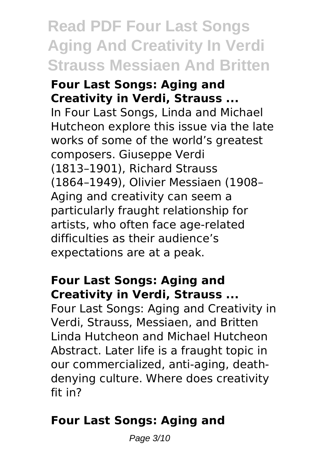# **Read PDF Four Last Songs Aging And Creativity In Verdi Strauss Messiaen And Britten**

#### **Four Last Songs: Aging and Creativity in Verdi, Strauss ...**

In Four Last Songs, Linda and Michael Hutcheon explore this issue via the late works of some of the world's greatest composers. Giuseppe Verdi (1813–1901), Richard Strauss (1864–1949), Olivier Messiaen (1908– Aging and creativity can seem a particularly fraught relationship for artists, who often face age-related difficulties as their audience's expectations are at a peak.

## **Four Last Songs: Aging and Creativity in Verdi, Strauss ...**

Four Last Songs: Aging and Creativity in Verdi, Strauss, Messiaen, and Britten Linda Hutcheon and Michael Hutcheon Abstract. Later life is a fraught topic in our commercialized, anti-aging, deathdenying culture. Where does creativity fit in?

# **Four Last Songs: Aging and**

Page 3/10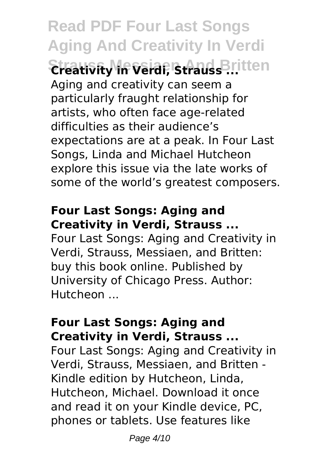**Read PDF Four Last Songs Aging And Creativity In Verdi Strauss Messiaen And Britten Creativity in Verdi, Strauss ...** Aging and creativity can seem a particularly fraught relationship for artists, who often face age-related difficulties as their audience's expectations are at a peak. In Four Last Songs, Linda and Michael Hutcheon explore this issue via the late works of some of the world's greatest composers.

#### **Four Last Songs: Aging and Creativity in Verdi, Strauss ...**

Four Last Songs: Aging and Creativity in Verdi, Strauss, Messiaen, and Britten: buy this book online. Published by University of Chicago Press. Author: Hutcheon ...

#### **Four Last Songs: Aging and Creativity in Verdi, Strauss ...**

Four Last Songs: Aging and Creativity in Verdi, Strauss, Messiaen, and Britten - Kindle edition by Hutcheon, Linda, Hutcheon, Michael. Download it once and read it on your Kindle device, PC, phones or tablets. Use features like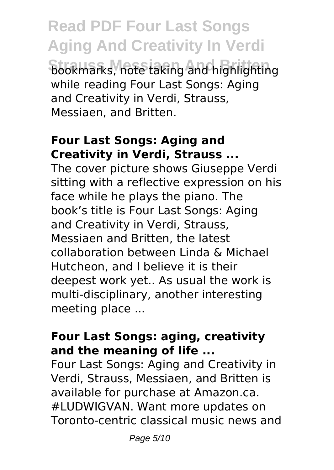**Read PDF Four Last Songs Aging And Creativity In Verdi Strauss Messiaen And Britten** bookmarks, note taking and highlighting while reading Four Last Songs: Aging and Creativity in Verdi, Strauss, Messiaen, and Britten.

#### **Four Last Songs: Aging and Creativity in Verdi, Strauss ...**

The cover picture shows Giuseppe Verdi sitting with a reflective expression on his face while he plays the piano. The book's title is Four Last Songs: Aging and Creativity in Verdi, Strauss, Messiaen and Britten, the latest collaboration between Linda & Michael Hutcheon, and I believe it is their deepest work yet.. As usual the work is multi-disciplinary, another interesting meeting place ...

### **Four Last Songs: aging, creativity and the meaning of life ...**

Four Last Songs: Aging and Creativity in Verdi, Strauss, Messiaen, and Britten is available for purchase at Amazon.ca. #LUDWIGVAN. Want more updates on Toronto-centric classical music news and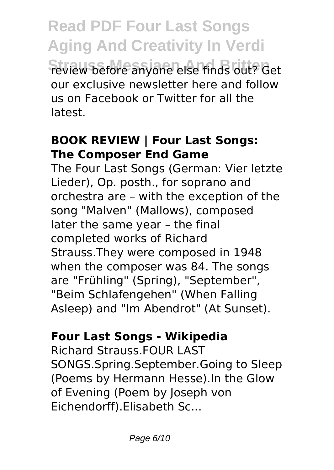**Read PDF Four Last Songs Aging And Creativity In Verdi Strauss Messiaen And Britten** review before anyone else finds out? Get our exclusive newsletter here and follow us on Facebook or Twitter for all the latest.

## **BOOK REVIEW | Four Last Songs: The Composer End Game**

The Four Last Songs (German: Vier letzte Lieder), Op. posth., for soprano and orchestra are – with the exception of the song "Malven" (Mallows), composed later the same year – the final completed works of Richard Strauss.They were composed in 1948 when the composer was 84. The songs are "Frühling" (Spring), "September", "Beim Schlafengehen" (When Falling Asleep) and "Im Abendrot" (At Sunset).

# **Four Last Songs - Wikipedia**

Richard Strauss.FOUR LAST SONGS.Spring.September.Going to Sleep (Poems by Hermann Hesse).In the Glow of Evening (Poem by Joseph von Eichendorff).Elisabeth Sc...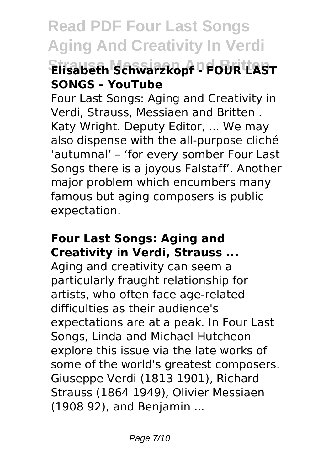# **Read PDF Four Last Songs Aging And Creativity In Verdi Strauss Messiaen And Britten Elisabeth Schwarzkopf - FOUR LAST SONGS - YouTube**

Four Last Songs: Aging and Creativity in Verdi, Strauss, Messiaen and Britten . Katy Wright. Deputy Editor, ... We may also dispense with the all-purpose cliché 'autumnal' – 'for every somber Four Last Songs there is a joyous Falstaff'. Another major problem which encumbers many famous but aging composers is public expectation.

#### **Four Last Songs: Aging and Creativity in Verdi, Strauss ...**

Aging and creativity can seem a particularly fraught relationship for artists, who often face age-related difficulties as their audience's expectations are at a peak. In Four Last Songs, Linda and Michael Hutcheon explore this issue via the late works of some of the world's greatest composers. Giuseppe Verdi (1813 1901), Richard Strauss (1864 1949), Olivier Messiaen (1908 92), and Benjamin ...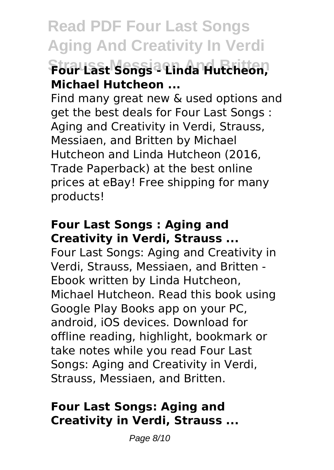# **Read PDF Four Last Songs Aging And Creativity In Verdi Strauss Messiaen And Britten Four Last Songs - Linda Hutcheon, Michael Hutcheon ...**

Find many great new & used options and get the best deals for Four Last Songs : Aging and Creativity in Verdi, Strauss, Messiaen, and Britten by Michael Hutcheon and Linda Hutcheon (2016, Trade Paperback) at the best online prices at eBay! Free shipping for many products!

#### **Four Last Songs : Aging and Creativity in Verdi, Strauss ...**

Four Last Songs: Aging and Creativity in Verdi, Strauss, Messiaen, and Britten - Ebook written by Linda Hutcheon, Michael Hutcheon. Read this book using Google Play Books app on your PC, android, iOS devices. Download for offline reading, highlight, bookmark or take notes while you read Four Last Songs: Aging and Creativity in Verdi, Strauss, Messiaen, and Britten.

## **Four Last Songs: Aging and Creativity in Verdi, Strauss ...**

Page 8/10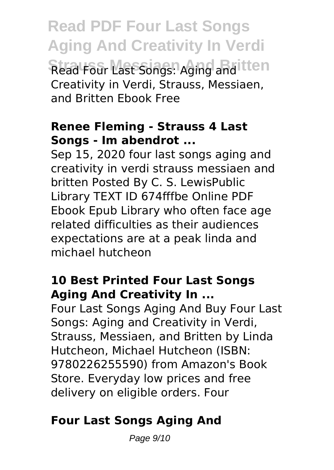**Read PDF Four Last Songs Aging And Creativity In Verdi Strauss Messiaen And Britten** Read Four Last Songs: Aging and Creativity in Verdi, Strauss, Messiaen, and Britten Ebook Free

### **Renee Fleming - Strauss 4 Last Songs - Im abendrot ...**

Sep 15, 2020 four last songs aging and creativity in verdi strauss messiaen and britten Posted By C. S. LewisPublic Library TEXT ID 674fffbe Online PDF Ebook Epub Library who often face age related difficulties as their audiences expectations are at a peak linda and michael hutcheon

### **10 Best Printed Four Last Songs Aging And Creativity In ...**

Four Last Songs Aging And Buy Four Last Songs: Aging and Creativity in Verdi, Strauss, Messiaen, and Britten by Linda Hutcheon, Michael Hutcheon (ISBN: 9780226255590) from Amazon's Book Store. Everyday low prices and free delivery on eligible orders. Four

# **Four Last Songs Aging And**

Page 9/10